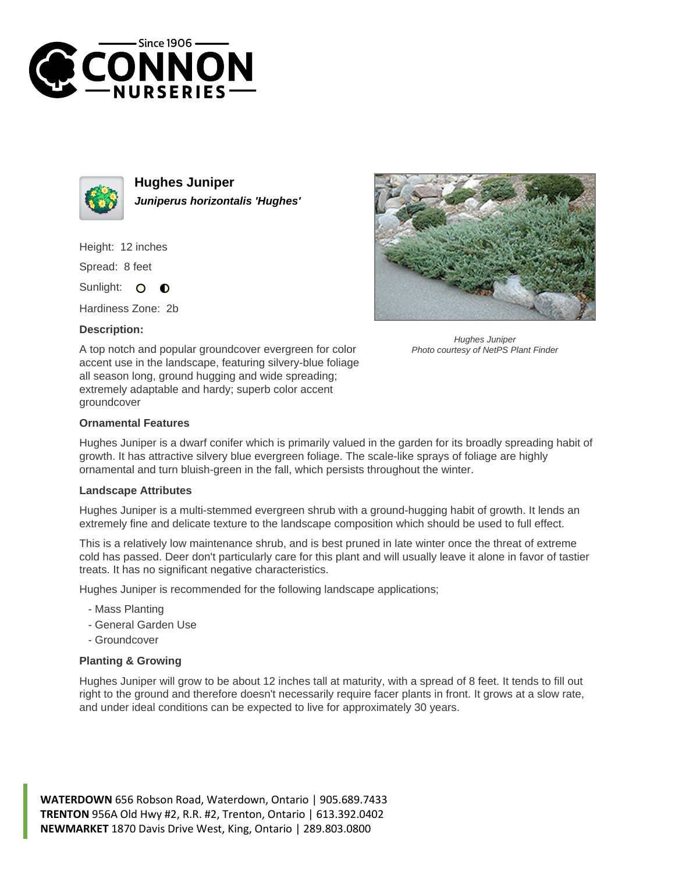



**Hughes Juniper Juniperus horizontalis 'Hughes'**

Height: 12 inches

Spread: 8 feet

Sunlight: O  $\bullet$ 

Hardiness Zone: 2b

## **Description:**



Hughes Juniper Photo courtesy of NetPS Plant Finder

A top notch and popular groundcover evergreen for color accent use in the landscape, featuring silvery-blue foliage all season long, ground hugging and wide spreading; extremely adaptable and hardy; superb color accent groundcover

## **Ornamental Features**

Hughes Juniper is a dwarf conifer which is primarily valued in the garden for its broadly spreading habit of growth. It has attractive silvery blue evergreen foliage. The scale-like sprays of foliage are highly ornamental and turn bluish-green in the fall, which persists throughout the winter.

## **Landscape Attributes**

Hughes Juniper is a multi-stemmed evergreen shrub with a ground-hugging habit of growth. It lends an extremely fine and delicate texture to the landscape composition which should be used to full effect.

This is a relatively low maintenance shrub, and is best pruned in late winter once the threat of extreme cold has passed. Deer don't particularly care for this plant and will usually leave it alone in favor of tastier treats. It has no significant negative characteristics.

Hughes Juniper is recommended for the following landscape applications;

- Mass Planting
- General Garden Use
- Groundcover

## **Planting & Growing**

Hughes Juniper will grow to be about 12 inches tall at maturity, with a spread of 8 feet. It tends to fill out right to the ground and therefore doesn't necessarily require facer plants in front. It grows at a slow rate, and under ideal conditions can be expected to live for approximately 30 years.

**WATERDOWN** 656 Robson Road, Waterdown, Ontario | 905.689.7433 **TRENTON** 956A Old Hwy #2, R.R. #2, Trenton, Ontario | 613.392.0402 **NEWMARKET** 1870 Davis Drive West, King, Ontario | 289.803.0800